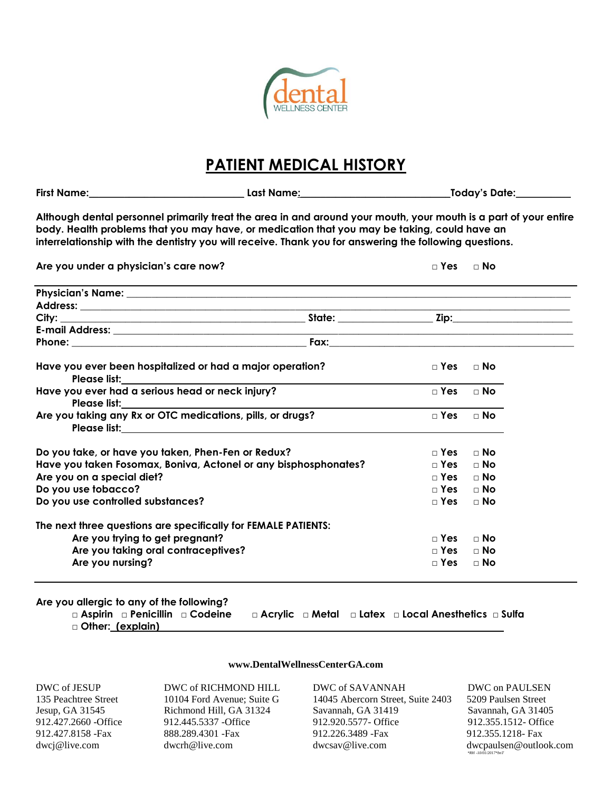

## **PATIENT MEDICAL HISTORY**

|                                                                                                                                                                                                                                                                                                                             |              |              | Today's Date: <b>contains the Structure</b> |  |  |  |  |  |  |
|-----------------------------------------------------------------------------------------------------------------------------------------------------------------------------------------------------------------------------------------------------------------------------------------------------------------------------|--------------|--------------|---------------------------------------------|--|--|--|--|--|--|
| Although dental personnel primarily treat the area in and around your mouth, your mouth is a part of your entire<br>body. Health problems that you may have, or medication that you may be taking, could have an<br>interrelationship with the dentistry you will receive. Thank you for answering the following questions. |              |              |                                             |  |  |  |  |  |  |
| Are you under a physician's care now?                                                                                                                                                                                                                                                                                       |              | $\Box$ Yes   | $\Box$ No                                   |  |  |  |  |  |  |
|                                                                                                                                                                                                                                                                                                                             |              |              |                                             |  |  |  |  |  |  |
|                                                                                                                                                                                                                                                                                                                             |              |              |                                             |  |  |  |  |  |  |
|                                                                                                                                                                                                                                                                                                                             |              |              |                                             |  |  |  |  |  |  |
|                                                                                                                                                                                                                                                                                                                             |              |              |                                             |  |  |  |  |  |  |
|                                                                                                                                                                                                                                                                                                                             |              |              |                                             |  |  |  |  |  |  |
| Have you ever been hospitalized or had a major operation?                                                                                                                                                                                                                                                                   | $\sqcap$ Yes | $\sqcap$ No  |                                             |  |  |  |  |  |  |
| Have you ever had a serious head or neck injury?<br><b>Please list:</b> Please is the contract of the contract of the contract of the contract of the contract of the contract of the contract of the contract of the contract of the contract of the contract of the contract of the c                                     | $\Box$ Yes   | $\Box$ No    |                                             |  |  |  |  |  |  |
| Are you taking any Rx or OTC medications, pills, or drugs?                                                                                                                                                                                                                                                                  | $\Box$ Yes   | $\sqcap$ No  |                                             |  |  |  |  |  |  |
| Do you take, or have you taken, Phen-Fen or Redux?                                                                                                                                                                                                                                                                          |              | $\sqcap$ Yes | $\sqcap$ No                                 |  |  |  |  |  |  |
| Have you taken Fosomax, Boniva, Actonel or any bisphosphonates?                                                                                                                                                                                                                                                             | $\Box$ Yes   | ⊟ No         |                                             |  |  |  |  |  |  |
| Are you on a special diet?                                                                                                                                                                                                                                                                                                  |              | $\sqcap$ Yes | — No                                        |  |  |  |  |  |  |
| Do you use tobacco?                                                                                                                                                                                                                                                                                                         |              | $\sqcap$ Yes | $\sqcap$ No                                 |  |  |  |  |  |  |
| Do you use controlled substances?                                                                                                                                                                                                                                                                                           | $\Box$ Yes   | $\Box$ No    |                                             |  |  |  |  |  |  |
| The next three questions are specifically for FEMALE PATIENTS:                                                                                                                                                                                                                                                              |              |              |                                             |  |  |  |  |  |  |
| Are you trying to get pregnant?                                                                                                                                                                                                                                                                                             | $\sqcap$ Yes | $\sqcap$ No  |                                             |  |  |  |  |  |  |
| Are you taking oral contraceptives?                                                                                                                                                                                                                                                                                         |              | $\sqcap$ Yes | — No                                        |  |  |  |  |  |  |
| Are you nursing?                                                                                                                                                                                                                                                                                                            | $\sqcap$ Yes | $\sqcap$ No  |                                             |  |  |  |  |  |  |
|                                                                                                                                                                                                                                                                                                                             |              |              |                                             |  |  |  |  |  |  |

## **Are you allergic to any of the following?**

**□ Aspirin □ Penicillin □ Codeine □ Acrylic □ Metal □ Latex □ Local Anesthetics □ Sulfa □ Other: (explain)**

## **[www.DentalWellnessCenterGA.com](http://www.dentalwellnesscenterga.com/)**

DWC of JESUP DWC of RICHMOND HILL DWC of SAVANNAH DWC on PAULSEN

135 Peachtree Street 10104 Ford Avenue; Suite G 14045 Abercorn Street, Suite 2403 5209 Paulsen Street Jesup, GA 31545 Richmond Hill, GA 31324 Savannah, GA 31419 Savannah, GA 31405 912.427.2660 -Office 912.445.5337 -Office 912.920.5577- Office 912.355.1512- Office 912.427.8158 -Fax 888.289.4301 -Fax 912.226.3489 -Fax 912.355.1218- Fax [dwcj@live.com](mailto:dwcj@live.com) dwcrh@live.com [dwcsav@live.com](mailto:dwcsav@live.com) dwcpaulsen@outlook.com

 *\*RH -10/01/2017\*bnT*